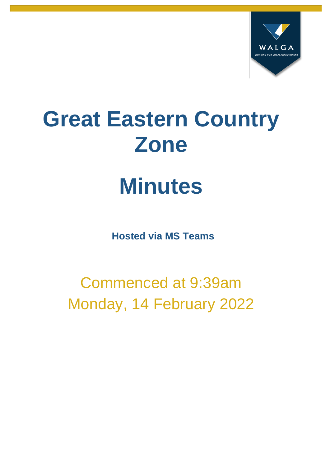

# **Great Eastern Country Zone**

# **Minutes**

**Hosted via MS Teams**

Commenced at 9:39am Monday, 14 February 2022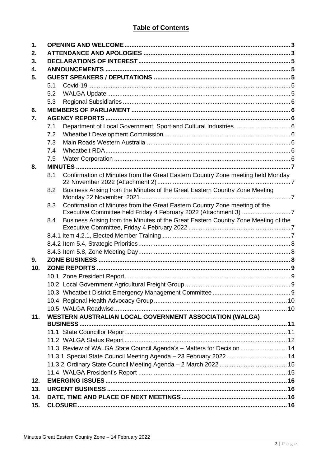# **Table of Contents**

| 1.  |     |                                                                                                                                                |  |  |  |  |
|-----|-----|------------------------------------------------------------------------------------------------------------------------------------------------|--|--|--|--|
| 2.  |     |                                                                                                                                                |  |  |  |  |
| 3.  |     |                                                                                                                                                |  |  |  |  |
| 4.  |     |                                                                                                                                                |  |  |  |  |
| 5.  |     |                                                                                                                                                |  |  |  |  |
|     | 5.1 |                                                                                                                                                |  |  |  |  |
|     | 5.2 |                                                                                                                                                |  |  |  |  |
|     | 5.3 |                                                                                                                                                |  |  |  |  |
| 6.  |     |                                                                                                                                                |  |  |  |  |
| 7.  |     |                                                                                                                                                |  |  |  |  |
|     | 7.1 | Department of Local Government, Sport and Cultural Industries  6                                                                               |  |  |  |  |
|     | 7.2 |                                                                                                                                                |  |  |  |  |
|     | 7.3 |                                                                                                                                                |  |  |  |  |
|     | 7.4 |                                                                                                                                                |  |  |  |  |
|     | 7.5 |                                                                                                                                                |  |  |  |  |
| 8.  |     |                                                                                                                                                |  |  |  |  |
|     | 8.1 | Confirmation of Minutes from the Great Eastern Country Zone meeting held Monday                                                                |  |  |  |  |
|     | 8.2 | Business Arising from the Minutes of the Great Eastern Country Zone Meeting                                                                    |  |  |  |  |
|     | 8.3 | Confirmation of Minutes from the Great Eastern Country Zone meeting of the<br>Executive Committee held Friday 4 February 2022 (Attachment 3) 7 |  |  |  |  |
|     | 8.4 | Business Arising from the Minutes of the Great Eastern Country Zone Meeting of the                                                             |  |  |  |  |
|     |     |                                                                                                                                                |  |  |  |  |
|     |     |                                                                                                                                                |  |  |  |  |
|     |     |                                                                                                                                                |  |  |  |  |
| 9.  |     |                                                                                                                                                |  |  |  |  |
| 10. |     |                                                                                                                                                |  |  |  |  |
|     |     |                                                                                                                                                |  |  |  |  |
|     |     |                                                                                                                                                |  |  |  |  |
|     |     |                                                                                                                                                |  |  |  |  |
|     |     |                                                                                                                                                |  |  |  |  |
|     |     |                                                                                                                                                |  |  |  |  |
| 11. |     | <b>WESTERN AUSTRALIAN LOCAL GOVERNMENT ASSOCIATION (WALGA)</b>                                                                                 |  |  |  |  |
|     |     |                                                                                                                                                |  |  |  |  |
|     |     |                                                                                                                                                |  |  |  |  |
|     |     | 11.3 Review of WALGA State Council Agenda's - Matters for Decision  14                                                                         |  |  |  |  |
|     |     |                                                                                                                                                |  |  |  |  |
|     |     |                                                                                                                                                |  |  |  |  |
|     |     |                                                                                                                                                |  |  |  |  |
| 12. |     |                                                                                                                                                |  |  |  |  |
| 13. |     |                                                                                                                                                |  |  |  |  |
| 14. |     |                                                                                                                                                |  |  |  |  |
| 15. |     |                                                                                                                                                |  |  |  |  |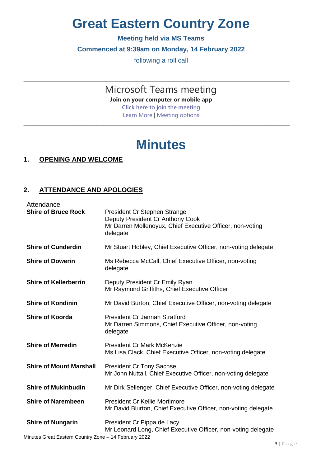# **Great Eastern Country Zone**

# **Meeting held via MS Teams**

# **Commenced at 9:39am on Monday, 14 February 2022**

following a roll call

\_\_\_\_\_\_\_\_\_\_\_\_\_\_\_\_\_\_\_\_\_\_\_\_\_\_\_\_\_\_\_\_\_\_\_\_\_\_\_\_\_\_\_\_\_\_\_\_\_\_\_\_\_\_\_\_\_\_\_\_\_\_\_\_\_\_\_\_\_\_\_\_\_\_\_\_\_\_\_\_

Microsoft Teams meeting **Join on your computer or mobile app [Click here to join the meeting](https://teams.microsoft.com/l/meetup-join/19%3ameeting_NDE1NzZlNjItOTc0MC00ZmM0LTgxODItNWI2YmUyMzg1MDc4%40thread.v2/0?context=%7b%22Tid%22%3a%2226aae395-5b0d-4fc1-bea1-6210720be0cd%22%2c%22Oid%22%3a%22ee36c5e2-631e-4258-b6a1-3edd874881fd%22%7d)** [Learn More](https://aka.ms/JoinTeamsMeeting) | [Meeting options](https://teams.microsoft.com/meetingOptions/?organizerId=ee36c5e2-631e-4258-b6a1-3edd874881fd&tenantId=26aae395-5b0d-4fc1-bea1-6210720be0cd&threadId=19_meeting_NDE1NzZlNjItOTc0MC00ZmM0LTgxODItNWI2YmUyMzg1MDc4@thread.v2&messageId=0&language=en-US) \_\_\_\_\_\_\_\_\_\_\_\_\_\_\_\_\_\_\_\_\_\_\_\_\_\_\_\_\_\_\_\_\_\_\_\_\_\_\_\_\_\_\_\_\_\_\_\_\_\_\_\_\_\_\_\_\_\_\_\_\_\_\_\_\_\_\_\_\_\_\_\_\_\_\_\_\_\_\_\_

# **Minutes**

# <span id="page-2-0"></span>**1. OPENING AND WELCOME**

# <span id="page-2-1"></span>**2. ATTENDANCE AND APOLOGIES**

| Attendance                                                                        |                                                                                                                                           |
|-----------------------------------------------------------------------------------|-------------------------------------------------------------------------------------------------------------------------------------------|
| <b>Shire of Bruce Rock</b>                                                        | President Cr Stephen Strange<br>Deputy President Cr Anthony Cook<br>Mr Darren Mollenoyux, Chief Executive Officer, non-voting<br>delegate |
| <b>Shire of Cunderdin</b>                                                         | Mr Stuart Hobley, Chief Executive Officer, non-voting delegate                                                                            |
| <b>Shire of Dowerin</b>                                                           | Ms Rebecca McCall, Chief Executive Officer, non-voting<br>delegate                                                                        |
| <b>Shire of Kellerberrin</b>                                                      | Deputy President Cr Emily Ryan<br>Mr Raymond Griffiths, Chief Executive Officer                                                           |
| <b>Shire of Kondinin</b>                                                          | Mr David Burton, Chief Executive Officer, non-voting delegate                                                                             |
| <b>Shire of Koorda</b>                                                            | <b>President Cr Jannah Stratford</b><br>Mr Darren Simmons, Chief Executive Officer, non-voting<br>delegate                                |
| <b>Shire of Merredin</b>                                                          | <b>President Cr Mark McKenzie</b><br>Ms Lisa Clack, Chief Executive Officer, non-voting delegate                                          |
| <b>Shire of Mount Marshall</b>                                                    | <b>President Cr Tony Sachse</b><br>Mr John Nuttall, Chief Executive Officer, non-voting delegate                                          |
| <b>Shire of Mukinbudin</b>                                                        | Mr Dirk Sellenger, Chief Executive Officer, non-voting delegate                                                                           |
| <b>Shire of Narembeen</b>                                                         | <b>President Cr Kellie Mortimore</b><br>Mr David Blurton, Chief Executive Officer, non-voting delegate                                    |
| <b>Shire of Nungarin</b><br>Minutes Great Eastern Country Zone - 14 February 2022 | President Cr Pippa de Lacy<br>Mr Leonard Long, Chief Executive Officer, non-voting delegate                                               |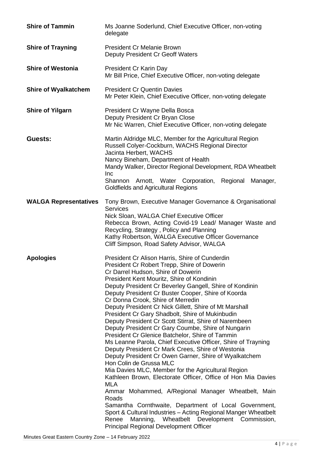| <b>Shire of Tammin</b>       | Ms Joanne Soderlund, Chief Executive Officer, non-voting<br>delegate                                                                                                                                                                                                                                                                                                                                                                                                                                                                                                                                                                                                                                                                                                                                                                                                                                                                                                                                                                                                                                                                                                                                                                                                 |
|------------------------------|----------------------------------------------------------------------------------------------------------------------------------------------------------------------------------------------------------------------------------------------------------------------------------------------------------------------------------------------------------------------------------------------------------------------------------------------------------------------------------------------------------------------------------------------------------------------------------------------------------------------------------------------------------------------------------------------------------------------------------------------------------------------------------------------------------------------------------------------------------------------------------------------------------------------------------------------------------------------------------------------------------------------------------------------------------------------------------------------------------------------------------------------------------------------------------------------------------------------------------------------------------------------|
| <b>Shire of Trayning</b>     | President Cr Melanie Brown<br>Deputy President Cr Geoff Waters                                                                                                                                                                                                                                                                                                                                                                                                                                                                                                                                                                                                                                                                                                                                                                                                                                                                                                                                                                                                                                                                                                                                                                                                       |
| <b>Shire of Westonia</b>     | President Cr Karin Day<br>Mr Bill Price, Chief Executive Officer, non-voting delegate                                                                                                                                                                                                                                                                                                                                                                                                                                                                                                                                                                                                                                                                                                                                                                                                                                                                                                                                                                                                                                                                                                                                                                                |
| <b>Shire of Wyalkatchem</b>  | <b>President Cr Quentin Davies</b><br>Mr Peter Klein, Chief Executive Officer, non-voting delegate                                                                                                                                                                                                                                                                                                                                                                                                                                                                                                                                                                                                                                                                                                                                                                                                                                                                                                                                                                                                                                                                                                                                                                   |
| <b>Shire of Yilgarn</b>      | President Cr Wayne Della Bosca<br>Deputy President Cr Bryan Close<br>Mr Nic Warren, Chief Executive Officer, non-voting delegate                                                                                                                                                                                                                                                                                                                                                                                                                                                                                                                                                                                                                                                                                                                                                                                                                                                                                                                                                                                                                                                                                                                                     |
| Guests:                      | Martin Aldridge MLC, Member for the Agricultural Region<br>Russell Colyer-Cockburn, WACHS Regional Director<br>Jacinta Herbert, WACHS<br>Nancy Bineham, Department of Health<br>Mandy Walker, Director Regional Development, RDA Wheatbelt<br><b>Inc</b><br>Shannon Arnott, Water Corporation, Regional<br>Manager,<br>Goldfields and Agricultural Regions                                                                                                                                                                                                                                                                                                                                                                                                                                                                                                                                                                                                                                                                                                                                                                                                                                                                                                           |
| <b>WALGA Representatives</b> | Tony Brown, Executive Manager Governance & Organisational<br><b>Services</b><br>Nick Sloan, WALGA Chief Executive Officer<br>Rebecca Brown, Acting Covid-19 Lead/ Manager Waste and<br>Recycling, Strategy, Policy and Planning<br>Kathy Robertson, WALGA Executive Officer Governance<br>Cliff Simpson, Road Safety Advisor, WALGA                                                                                                                                                                                                                                                                                                                                                                                                                                                                                                                                                                                                                                                                                                                                                                                                                                                                                                                                  |
| <b>Apologies</b>             | President Cr Alison Harris, Shire of Cunderdin<br>President Cr Robert Trepp, Shire of Dowerin<br>Cr Darrel Hudson, Shire of Dowerin<br>President Kent Mouritz, Shire of Kondinin<br>Deputy President Cr Beverley Gangell, Shire of Kondinin<br>Deputy President Cr Buster Cooper, Shire of Koorda<br>Cr Donna Crook, Shire of Merredin<br>Deputy President Cr Nick Gillett, Shire of Mt Marshall<br>President Cr Gary Shadbolt, Shire of Mukinbudin<br>Deputy President Cr Scott Stirrat, Shire of Narembeen<br>Deputy President Cr Gary Coumbe, Shire of Nungarin<br>President Cr Glenice Batchelor, Shire of Tammin<br>Ms Leanne Parola, Chief Executive Officer, Shire of Trayning<br>Deputy President Cr Mark Crees, Shire of Westonia<br>Deputy President Cr Owen Garner, Shire of Wyalkatchem<br>Hon Colin de Grussa MLC<br>Mia Davies MLC, Member for the Agricultural Region<br>Kathleen Brown, Electorate Officer, Office of Hon Mia Davies<br><b>MLA</b><br>Ammar Mohammed, A/Regional Manager Wheatbelt, Main<br>Roads<br>Samantha Cornthwaite, Department of Local Government,<br>Sport & Cultural Industries - Acting Regional Manger Wheatbelt<br>Manning, Wheatbelt Development Commission,<br>Renee<br><b>Principal Regional Development Officer</b> |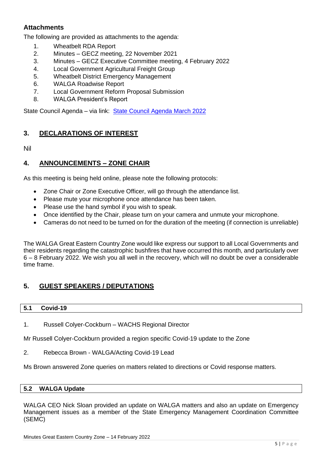# **Attachments**

The following are provided as attachments to the agenda:

- 1. Wheatbelt RDA Report
- 2. Minutes GECZ meeting, 22 November 2021
- 3. Minutes GECZ Executive Committee meeting, 4 February 2022
- 4. Local Government Agricultural Freight Group
- 5. Wheatbelt District Emergency Management
- 6. WALGA Roadwise Report
- 7. Local Government Reform Proposal Submission
- 8. WALGA President's Report

State Council Agenda – via link: [State Council Agenda March 2022](https://walga.asn.au/getattachment/4b194053-8aeb-4e8b-ac6f-608427e73dd2/State-Council-Agenda-2-March-2022.pdf)

# <span id="page-4-0"></span>**3. DECLARATIONS OF INTEREST**

Nil

# <span id="page-4-1"></span>**4. ANNOUNCEMENTS – ZONE CHAIR**

As this meeting is being held online, please note the following protocols:

- Zone Chair or Zone Executive Officer, will go through the attendance list.
- Please mute vour microphone once attendance has been taken.
- Please use the hand symbol if you wish to speak.
- Once identified by the Chair, please turn on your camera and unmute your microphone.
- Cameras do not need to be turned on for the duration of the meeting (if connection is unreliable)

The WALGA Great Eastern Country Zone would like express our support to all Local Governments and their residents regarding the catastrophic bushfires that have occurred this month, and particularly over 6 – 8 February 2022. We wish you all well in the recovery, which will no doubt be over a considerable time frame.

# <span id="page-4-2"></span>**5. GUEST SPEAKERS / DEPUTATIONS**

#### <span id="page-4-3"></span>**5.1 Covid-19**

1. Russell Colyer-Cockburn – WACHS Regional Director

Mr Russell Colyer-Cockburn provided a region specific Covid-19 update to the Zone

2. Rebecca Brown - WALGA/Acting Covid-19 Lead

Ms Brown answered Zone queries on matters related to directions or Covid response matters.

#### <span id="page-4-4"></span>**5.2 WALGA Update**

WALGA CEO Nick Sloan provided an update on WALGA matters and also an update on Emergency Management issues as a member of the State Emergency Management Coordination Committee (SEMC)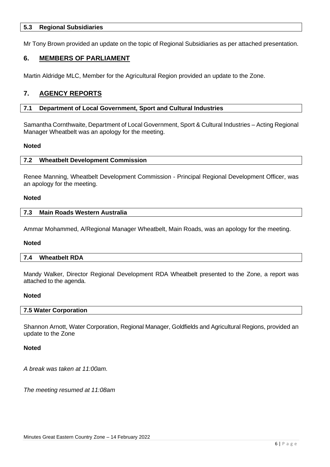#### <span id="page-5-0"></span>**5.3 Regional Subsidiaries**

Mr Tony Brown provided an update on the topic of Regional Subsidiaries as per attached presentation.

#### <span id="page-5-1"></span>**6. MEMBERS OF PARLIAMENT**

Martin Aldridge MLC, Member for the Agricultural Region provided an update to the Zone.

### <span id="page-5-2"></span>**7. AGENCY REPORTS**

#### <span id="page-5-3"></span>**7.1 Department of Local Government, Sport and Cultural Industries**

Samantha Cornthwaite, Department of Local Government, Sport & Cultural Industries – Acting Regional Manager Wheatbelt was an apology for the meeting.

#### <span id="page-5-4"></span>**Noted**

#### **7.2 Wheatbelt Development Commission**

Renee Manning, Wheatbelt Development Commission - Principal Regional Development Officer, was an apology for the meeting.

#### <span id="page-5-5"></span>**Noted**

#### **7.3 Main Roads Western Australia**

Ammar Mohammed, A/Regional Manager Wheatbelt, Main Roads, was an apology for the meeting.

#### <span id="page-5-6"></span>**Noted**

#### **7.4 Wheatbelt RDA**

Mandy Walker, Director Regional Development RDA Wheatbelt presented to the Zone, a report was attached to the agenda.

#### <span id="page-5-7"></span>**Noted**

#### **7.5 Water Corporation**

Shannon Arnott, Water Corporation, Regional Manager, Goldfields and Agricultural Regions, provided an update to the Zone

#### **Noted**

*A break was taken at 11:00am.*

<span id="page-5-8"></span>*The meeting resumed at 11:08am*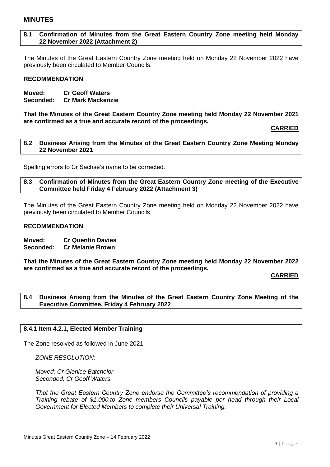#### <span id="page-6-0"></span>**8.1 Confirmation of Minutes from the Great Eastern Country Zone meeting held Monday 22 November 2022 (Attachment 2)**

The Minutes of the Great Eastern Country Zone meeting held on Monday 22 November 2022 have previously been circulated to Member Councils.

#### **RECOMMENDATION**

**Moved: Cr Geoff Waters Seconded: Cr Mark Mackenzie**

**That the Minutes of the Great Eastern Country Zone meeting held Monday 22 November 2021 are confirmed as a true and accurate record of the proceedings.** 

**CARRIED**

<span id="page-6-1"></span>**8.2 Business Arising from the Minutes of the Great Eastern Country Zone Meeting Monday 22 November 2021**

<span id="page-6-2"></span>Spelling errors to Cr Sachse's name to be corrected.

#### **8.3 Confirmation of Minutes from the Great Eastern Country Zone meeting of the Executive Committee held Friday 4 February 2022 (Attachment 3)**

The Minutes of the Great Eastern Country Zone meeting held on Monday 22 November 2022 have previously been circulated to Member Councils.

#### **RECOMMENDATION**

**Moved: Cr Quentin Davies Seconded: Cr Melanie Brown**

**That the Minutes of the Great Eastern Country Zone meeting held Monday 22 November 2022 are confirmed as a true and accurate record of the proceedings.** 

#### **CARRIED**

<span id="page-6-3"></span>**8.4 Business Arising from the Minutes of the Great Eastern Country Zone Meeting of the Executive Committee, Friday 4 February 2022**

#### <span id="page-6-4"></span>**8.4.1 Item 4.2.1, Elected Member Training**

The Zone resolved as followed in June 2021:

*ZONE RESOLUTION:*

*Moved: Cr Glenice Batchelor Seconded: Cr Geoff Waters*

*That the Great Eastern Country Zone endorse the Committee's recommendation of providing a Training rebate of \$1,000,to Zone members Councils payable per head through their Local Government for Elected Members to complete their Universal Training.*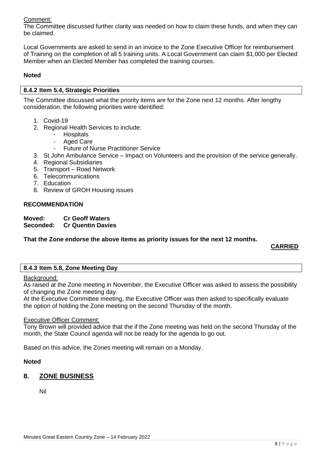# Comment:

The Committee discussed further clarity was needed on how to claim these funds, and when they can be claimed.

Local Governments are asked to send in an invoice to the Zone Executive Officer for reimbursement of Training on the completion of all 5 training units. A Local Government can claim \$1,000 per Elected Member when an Elected Member has completed the training courses.

#### **Noted**

#### <span id="page-7-0"></span>**8.4.2 Item 5.4, Strategic Priorities**

The Committee discussed what the priority items are for the Zone next 12 months. After lengthy consideration, the following priorities were identified:

- 1. Covid-19
- 2. Regional Health Services to include:
	- **Hospitals**
	- Aged Care
	- Future of Nurse Practitioner Service
- 3. St John Ambulance Service Impact on Volunteers and the provision of the service generally.
- 4. Regional Subsidiaries
- 5. Transport Road Network
- 6. Telecommunications
- 7. Education
- 8. Review of GROH Housing issues

#### **RECOMMENDATION**

**Moved: Cr Geoff Waters**

**Seconded: Cr Quentin Davies**

#### **That the Zone endorse the above items as priority issues for the next 12 months.**

# **CARRIED**

#### <span id="page-7-1"></span>**8.4.3 Item 5.8, Zone Meeting Day**

#### Background:

As raised at the Zone meeting in November, the Executive Officer was asked to assess the possibility of changing the Zone meeting day.

At the Executive Committee meeting, the Executive Officer was then asked to specifically evaluate the option of holding the Zone meeting on the second Thursday of the month.

#### Executive Officer Comment:

Tony Brown will provided advice that the if the Zone meeting was held on the second Thursday of the month, the State Council agenda will not be ready for the agenda to go out.

Based on this advice, the Zones meeting will remain on a Monday.

#### **Noted**

# <span id="page-7-2"></span>**8. ZONE BUSINESS**

<span id="page-7-3"></span>Nil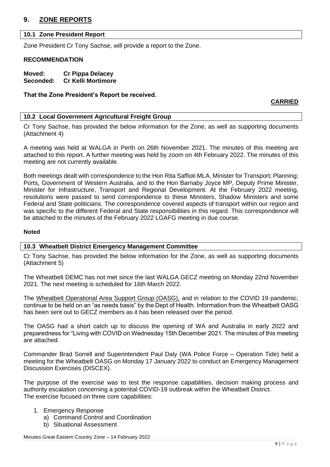# <span id="page-8-0"></span>**9. ZONE REPORTS**

#### **10.1 Zone President Report**

Zone President Cr Tony Sachse, will provide a report to the Zone.

#### **RECOMMENDATION**

**Moved: Cr Pippa Delacey Seconded: Cr Kelli Mortimore**

#### **That the Zone President's Report be received.**

#### **CARRIED**

#### <span id="page-8-1"></span>**10.2 Local Government Agricultural Freight Group**

Cr Tony Sachse, has provided the below information for the Zone, as well as supporting documents (Attachment 4)

A meeting was held at WALGA in Perth on 26th November 2021. The minutes of this meeting are attached to this report. A further meeting was held by zoom on 4th February 2022. The minutes of this meeting are not currently available.

Both meetings dealt with correspondence to the Hon Rita Saffioti MLA, Minister for Transport; Planning; Ports, Government of Western Australia, and to the Hon Barnaby Joyce MP, Deputy Prime Minister, Minister for Infrastructure, Transport and Regional Development. At the February 2022 meeting, resolutions were passed to send correspondence to these Ministers, Shadow Ministers and some Federal and State politicians. The correspondence covered aspects of transport within our region and was specific to the different Federal and State responsibilities in this regard. This correspondence will be attached to the minutes of the February 2022 LGAFG meeting in due course.

#### **Noted**

#### <span id="page-8-2"></span>**10.3 Wheatbelt District Emergency Management Committee**

Cr Tony Sachse, has provided the below information for the Zone, as well as supporting documents (Attachment 5)

The Wheatbelt DEMC has not met since the last WALGA GECZ meeting on Monday 22nd November 2021. The next meeting is scheduled for 16th March 2022.

The Wheatbelt Operational Area Support Group (OASG), and in relation to the COVID 19 pandemic, continue to be held on an "as needs basis" by the Dept of Health. Information from the Wheatbelt OASG has been sent out to GECZ members as it has been released over the period.

The OASG had a short catch up to discuss the opening of WA and Australia in early 2022 and preparedness for "Living with COVID on Wednesday 15th December 2021. The minutes of this meeting are attached.

Commander Brad Sorrell and Superintendent Paul Daly (WA Police Force – Operation Tide) held a meeting for the Wheatbelt OASG on Monday 17 January 2022 to conduct an Emergency Management Discussion Exercises (DISCEX).

The purpose of the exercise was to test the response capabilities, decision making process and authority escalation concerning a potential COVID-19 outbreak within the Wheatbelt District. The exercise focused on three core capabilities:

#### 1. Emergency Response

- a) Command Control and Coordination
- b) Situational Assessment

Minutes Great Eastern Country Zone – 14 February 2022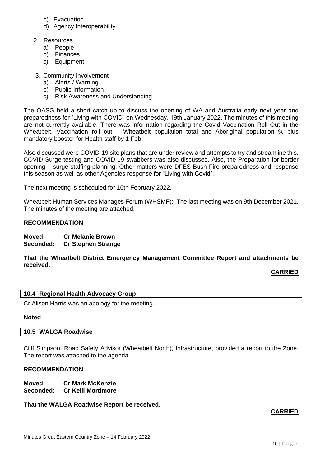- c) Evacuation
- d) Agency Interoperability
- 2. Resources
	- a) People
	- b) Finances
	- c) Equipment
- 3. Community Involvement
	- a) Alerts / Warning
	- b) Public Information
	- c) Risk Awareness and Understanding

The OASG held a short catch up to discuss the opening of WA and Australia early next year and preparedness for "Living with COVID" on Wednesday, 19th January 2022. The minutes of this meeting are not currently available. There was information regarding the Covid Vaccination Roll Out in the Wheatbelt. Vaccination roll out – Wheatbelt population total and Aboriginal population % plus mandatory booster for Health staff by 1 Feb.

Also discussed were COVID-19 site plans that are under review and attempts to try and streamline this. COVID Surge testing and COVID-19 swabbers was also discussed. Also, the Preparation for border opening – surge staffing planning. Other matters were DFES Bush Fire preparedness and response this season as well as other Agencies response for "Living with Covid".

The next meeting is scheduled for 16th February 2022.

Wheatbelt Human Services Manages Forum (WHSMF): The last meeting was on 9th December 2021. The minutes of the meeting are attached.

#### **RECOMMENDATION**

**Moved: Cr Melanie Brown Seconded: Cr Stephen Strange**

**That the Wheatbelt District Emergency Management Committee Report and attachments be received.**

#### **CARRIED**

#### <span id="page-9-0"></span>**10.4 Regional Health Advocacy Group**

Cr Alison Harris was an apology for the meeting.

#### <span id="page-9-1"></span>**Noted**

#### **10.5 WALGA Roadwise**

Cliff Simpson, Road Safety Advisor (Wheatbelt North), Infrastructure, provided a report to the Zone. The report was attached to the agenda.

#### **RECOMMENDATION**

**Moved: Cr Mark McKenzie Seconded: Cr Kelli Mortimore**

#### **That the WALGA Roadwise Report be received.**

#### **CARRIED**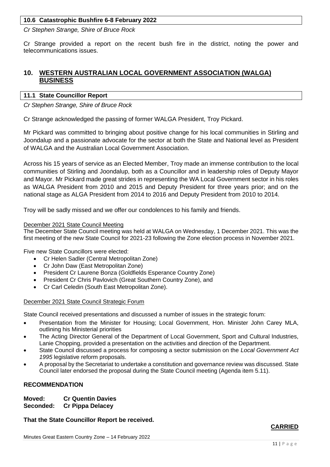### **10.6 Catastrophic Bushfire 6-8 February 2022**

*Cr Stephen Strange, Shire of Bruce Rock*

Cr Strange provided a report on the recent bush fire in the district, noting the power and telecommunications issues.

# <span id="page-10-0"></span>**10. WESTERN AUSTRALIAN LOCAL GOVERNMENT ASSOCIATION (WALGA) BUSINESS**

#### <span id="page-10-1"></span>**11.1 State Councillor Report**

*Cr Stephen Strange, Shire of Bruce Rock*

Cr Strange acknowledged the passing of former WALGA President, Troy Pickard.

Mr Pickard was committed to bringing about positive change for his local communities in Stirling and Joondalup and a passionate advocate for the sector at both the State and National level as President of WALGA and the Australian Local Government Association.

Across his 15 years of service as an Elected Member, Troy made an immense contribution to the local communities of Stirling and Joondalup, both as a Councillor and in leadership roles of Deputy Mayor and Mayor. Mr Pickard made great strides in representing the WA Local Government sector in his roles as WALGA President from 2010 and 2015 and Deputy President for three years prior; and on the national stage as ALGA President from 2014 to 2016 and Deputy President from 2010 to 2014.

Troy will be sadly missed and we offer our condolences to his family and friends.

#### December 2021 State Council Meeting

The December State Council meeting was held at WALGA on Wednesday, 1 December 2021. This was the first meeting of the new State Council for 2021-23 following the Zone election process in November 2021.

Five new State Councillors were elected:

- Cr Helen Sadler (Central Metropolitan Zone)
- Cr John Daw (East Metropolitan Zone)
- President Cr Laurene Bonza (Goldfields Esperance Country Zone)
- President Cr Chris Pavlovich (Great Southern Country Zone), and
- Cr Carl Celedin (South East Metropolitan Zone).

#### December 2021 State Council Strategic Forum

State Council received presentations and discussed a number of issues in the strategic forum:

- Presentation from the Minister for Housing; Local Government, Hon. Minister John Carey MLA, outlining his Ministerial priorities
- The Acting Director General of the Department of Local Government, Sport and Cultural Industries, Lanie Chopping, provided a presentation on the activities and direction of the Department.
- State Council discussed a process for composing a sector submission on the *Local Government Act 1995* legislative reform proposals.
- A proposal by the Secretariat to undertake a constitution and governance review was discussed. State Council later endorsed the proposal during the State Council meeting (Agenda item 5.11).

#### **RECOMMENDATION**

**Moved: Cr Quentin Davies Seconded: Cr Pippa Delacey**

**That the State Councillor Report be received.**

# **CARRIED**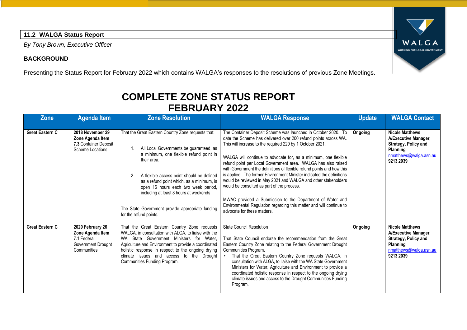# **11.2 WALGA Status Report**

*By Tony Brown, Executive Officer*

# **BACKGROUND**

Presenting the Status Report for February 2022 which contains WALGA's responses to the resolutions of previous Zone Meetings.

# **COMPLETE ZONE STATUS REPORT FEBRUARY 2022**

<span id="page-11-0"></span>

| <b>Zone</b>            | <b>Agenda Item</b>                                                                       | <b>Zone Resolution</b>                                                                                                                                                                                                                                                                                                                                                                                           | <b>WALGA Response</b>                                                                                                                                                                                                                                                                                                                                                                                                                                                                                                                                                                                                                                                                                                                                                   | <b>Update</b> | <b>WALGA Contact</b>                                                                                                                    |
|------------------------|------------------------------------------------------------------------------------------|------------------------------------------------------------------------------------------------------------------------------------------------------------------------------------------------------------------------------------------------------------------------------------------------------------------------------------------------------------------------------------------------------------------|-------------------------------------------------------------------------------------------------------------------------------------------------------------------------------------------------------------------------------------------------------------------------------------------------------------------------------------------------------------------------------------------------------------------------------------------------------------------------------------------------------------------------------------------------------------------------------------------------------------------------------------------------------------------------------------------------------------------------------------------------------------------------|---------------|-----------------------------------------------------------------------------------------------------------------------------------------|
| <b>Great Eastern C</b> | 2018 November 29<br>Zone Agenda Item<br>7.3 Container Deposit<br>Scheme Locations        | That the Great Eastern Country Zone requests that:<br>All Local Governments be guaranteed, as<br>a minimum, one flexible refund point in<br>their area.<br>A flexible access point should be defined<br>as a refund point which, as a minimum, is<br>open 16 hours each two week period,<br>including at least 8 hours at weekends<br>The State Government provide appropriate funding<br>for the refund points. | The Container Deposit Scheme was launched in October 2020. To<br>date the Scheme has delivered over 200 refund points across WA.<br>This will increase to the required 229 by 1 October 2021.<br>WALGA will continue to advocate for, as a minimum, one flexible<br>refund point per Local Government area. WALGA has also raised<br>with Government the definitions of flexible refund points and how this<br>is applied. The former Environment Minister indicated the definitions<br>would be reviewed in May 2021 and WALGA and other stakeholders<br>would be consulted as part of the process.<br>MWAC provided a Submission to the Department of Water and<br>Environmental Regulation regarding this matter and will continue to<br>advocate for these matters. | Ongoing       | <b>Nicole Matthews</b><br>A/Executive Manager,<br><b>Strategy, Policy and</b><br>Planning<br>nmatthews@walga.asn.au<br>9213 2039        |
| <b>Great Eastern C</b> | 2020 February 26<br>Zone Agenda Item<br>7.1 Federal<br>Government Drought<br>Communities | That the Great Eastern Country Zone requests<br>WALGA, in consultation with ALGA, to liaise with the<br>WA State Government Ministers for Water.<br>Agriculture and Environment to provide a coordinated<br>holistic response in respect to the ongoing drying<br>climate issues and access to the Drought<br>Communities Funding Program.                                                                       | <b>State Council Resolution</b><br>That State Council endorse the recommendation from the Great<br>Eastern Country Zone relating to the Federal Government Drought<br>Communities Program.<br>That the Great Eastern Country Zone requests WALGA, in<br>$\bullet$<br>consultation with ALGA, to liaise with the WA State Government<br>Ministers for Water, Agriculture and Environment to provide a<br>coordinated holistic response in respect to the ongoing drying<br>climate issues and access to the Drought Communities Funding<br>Program.                                                                                                                                                                                                                      | Ongoing       | <b>Nicole Matthews</b><br>A/Executive Manager,<br><b>Strategy, Policy and</b><br><b>Planning</b><br>nmatthews@walga.asn.au<br>9213 2039 |

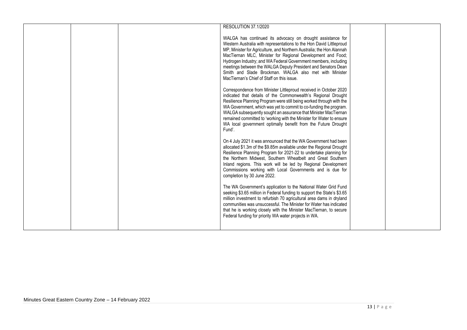| RESOLUTION 37.1/2020                                                    |  |
|-------------------------------------------------------------------------|--|
|                                                                         |  |
|                                                                         |  |
| WALGA has continued its advocacy on drought assistance for              |  |
| Western Australia with representations to the Hon David Littleproud     |  |
| MP, Minister for Agriculture, and Northern Australia; the Hon Alannah   |  |
| MacTiernan MLC, Minister for Regional Development and Food;             |  |
| Hydrogen Industry; and WA Federal Government members, including         |  |
| meetings between the WALGA Deputy President and Senators Dean           |  |
| Smith and Slade Brockman. WALGA also met with Minister                  |  |
| MacTiernan's Chief of Staff on this issue.                              |  |
|                                                                         |  |
| Correspondence from Minister Littleproud received in October 2020       |  |
| indicated that details of the Commonwealth's Regional Drought           |  |
|                                                                         |  |
| Resilience Planning Program were still being worked through with the    |  |
| WA Government, which was yet to commit to co-funding the program.       |  |
| WALGA subsequently sought an assurance that Minister MacTiernan         |  |
| remained committed to 'working with the Minister for Water to ensure    |  |
| WA local government optimally benefit from the Future Drought           |  |
| Fund'.                                                                  |  |
|                                                                         |  |
| On 4 July 2021 it was announced that the WA Government had been         |  |
| allocated \$1.3m of the \$9.85m available under the Regional Drought    |  |
| Resilience Planning Program for 2021-22 to undertake planning for       |  |
| the Northern Midwest, Southern Wheatbelt and Great Southern             |  |
| Inland regions. This work will be led by Regional Development           |  |
| Commissions working with Local Governments and is due for               |  |
|                                                                         |  |
| completion by 30 June 2022.                                             |  |
|                                                                         |  |
| The WA Government's application to the National Water Grid Fund         |  |
| seeking \$3.65 million in Federal funding to support the State's \$3.65 |  |
| million investment to refurbish 70 agricultural area dams in dryland    |  |
| communities was unsuccessful. The Minister for Water has indicated      |  |
| that he is working closely with the Minister MacTiernan, to secure      |  |
| Federal funding for priority WA water projects in WA.                   |  |
|                                                                         |  |
|                                                                         |  |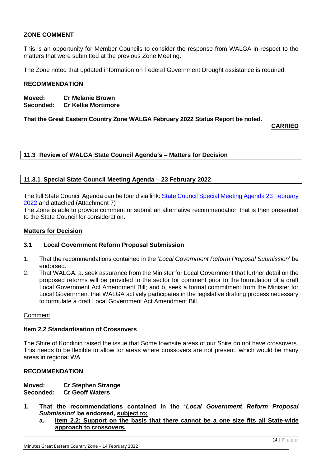### **ZONE COMMENT**

This is an opportunity for Member Councils to consider the response from WALGA in respect to the matters that were submitted at the previous Zone Meeting.

The Zone noted that updated information on Federal Government Drought assistance is required.

#### **RECOMMENDATION**

**Moved: Cr Melanie Brown Seconded: Cr Kellie Mortimore**

**That the Great Eastern Country Zone WALGA February 2022 Status Report be noted.**

**CARRIED**

<span id="page-13-0"></span>**11.3 Review of WALGA State Council Agenda's – Matters for Decision**

#### <span id="page-13-1"></span>**11.3.1 Special State Council Meeting Agenda – 23 February 2022**

The full State Council Agenda can be found via link: [State Council Special Meeting Agenda 23 February](https://walga.asn.au/getattachment/be0cd704-e07c-446f-93be-47b33269e922/State-Council-Special-Meeting-Agenda-23-February-2022.pdf)  [2022](https://walga.asn.au/getattachment/be0cd704-e07c-446f-93be-47b33269e922/State-Council-Special-Meeting-Agenda-23-February-2022.pdf) and attached (Attachment 7)

The Zone is able to provide comment or submit an alternative recommendation that is then presented to the State Council for consideration.

#### **Matters for Decision**

#### **3.1 Local Government Reform Proposal Submission**

- 1. That the recommendations contained in the '*Local Government Reform Proposal Submission*' be endorsed.
- 2. That WALGA: a. seek assurance from the Minister for Local Government that further detail on the proposed reforms will be provided to the sector for comment prior to the formulation of a draft Local Government Act Amendment Bill; and b. seek a formal commitment from the Minister for Local Government that WALGA actively participates in the legislative drafting process necessary to formulate a draft Local Government Act Amendment Bill.

#### Comment

#### **Item 2.2 Standardisation of Crossovers**

The Shire of Kondinin raised the issue that Some townsite areas of our Shire do not have crossovers. This needs to be flexible to allow for areas where crossovers are not present, which would be many areas in regional WA.

#### **RECOMMENDATION**

**Moved: Cr Stephen Strange Seconded: Cr Geoff Waters**

- **1. That the recommendations contained in the '***Local Government Reform Proposal Submission***' be endorsed, subject to;**
	- **a. Item 2.2: Support on the basis that there cannot be a one size fits all State-wide approach to crossovers.**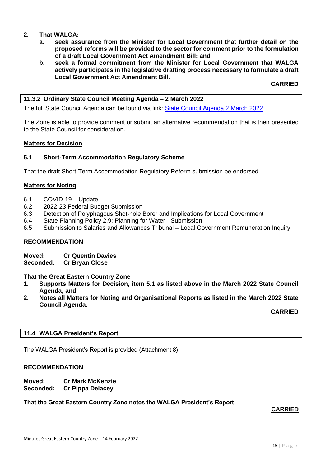#### **2. That WALGA:**

- **a. seek assurance from the Minister for Local Government that further detail on the proposed reforms will be provided to the sector for comment prior to the formulation of a draft Local Government Act Amendment Bill; and**
- **b. seek a formal commitment from the Minister for Local Government that WALGA actively participates in the legislative drafting process necessary to formulate a draft Local Government Act Amendment Bill.**

#### **CARRIED**

#### <span id="page-14-0"></span>**11.3.2 Ordinary State Council Meeting Agenda – 2 March 2022**

The full State Council Agenda can be found via link: [State Council Agenda 2 March 2022](https://walga.asn.au/getattachment/4b194053-8aeb-4e8b-ac6f-608427e73dd2/State-Council-Agenda-2-March-2022.pdf)

The Zone is able to provide comment or submit an alternative recommendation that is then presented to the State Council for consideration.

#### **Matters for Decision**

#### **5.1 Short-Term Accommodation Regulatory Scheme**

That the draft Short-Term Accommodation Regulatory Reform submission be endorsed

#### **Matters for Noting**

- 6.1 COVID-19 Update
- 6.2 2022-23 Federal Budget Submission
- 6.3 Detection of Polyphagous Shot-hole Borer and Implications for Local Government
- 6.4 State Planning Policy 2.9: Planning for Water Submission
- 6.5 Submission to Salaries and Allowances Tribunal Local Government Remuneration Inquiry

#### **RECOMMENDATION**

**Moved: Cr Quentin Davies**

**Seconded: Cr Bryan Close**

#### **That the Great Eastern Country Zone**

- **1. Supports Matters for Decision, item 5.1 as listed above in the March 2022 State Council Agenda; and**
- **2. Notes all Matters for Noting and Organisational Reports as listed in the March 2022 State Council Agenda.**

**CARRIED**

#### <span id="page-14-1"></span>**11.4 WALGA President's Report**

The WALGA President's Report is provided (Attachment 8)

#### **RECOMMENDATION**

**Moved: Cr Mark McKenzie Seconded: Cr Pippa Delacey**

#### <span id="page-14-2"></span>**That the Great Eastern Country Zone notes the WALGA President's Report**

#### **CARRIED**